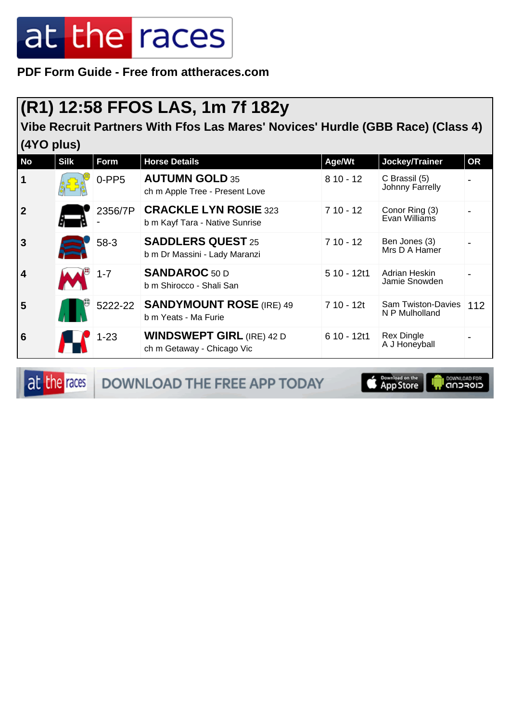**PDF Form Guide - Free from attheraces.com**

#### **(R1) 12:58 FFOS LAS, 1m 7f 182y**

**Vibe Recruit Partners With Ffos Las Mares' Novices' Hurdle (GBB Race) (Class 4) (4YO plus)**

| <b>No</b>      | <b>Silk</b> | Form     | <b>Horse Details</b>                                           | Age/Wt       | Jockey/Trainer                              | <b>OR</b> |
|----------------|-------------|----------|----------------------------------------------------------------|--------------|---------------------------------------------|-----------|
| $\vert$ 1      |             | $0-PP5$  | <b>AUTUMN GOLD 35</b><br>ch m Apple Tree - Present Love        | $810 - 12$   | C Brassil (5)<br>Johnny Farrelly            |           |
| 2              |             | 2356/7P  | <b>CRACKLE LYN ROSIE 323</b><br>b m Kayf Tara - Native Sunrise | $710 - 12$   | Conor Ring (3)<br>Evan Williams             |           |
| <b>3</b>       |             | 58-3     | <b>SADDLERS QUEST 25</b><br>b m Dr Massini - Lady Maranzi      | $710 - 12$   | Ben Jones (3)<br>Mrs D A Hamer              |           |
| $\overline{4}$ |             | $1 - 7$  | <b>SANDAROC</b> 50 D<br>b m Shirocco - Shali San               | $510 - 12t1$ | Adrian Heskin<br>Jamie Snowden              |           |
| 5              |             |          | 5222-22 SANDYMOUNT ROSE (IRE) 49<br>b m Yeats - Ma Furie       | $710 - 12t$  | <b>Sam Twiston-Davies</b><br>N P Mulholland | 112       |
| <b>6</b>       |             | $1 - 23$ | <b>WINDSWEPT GIRL (IRE) 42 D</b><br>ch m Getaway - Chicago Vic | $610 - 12t1$ | <b>Rex Dingle</b><br>A J Honeyball          |           |

at the races DOWNLOAD THE FREE APP TODAY

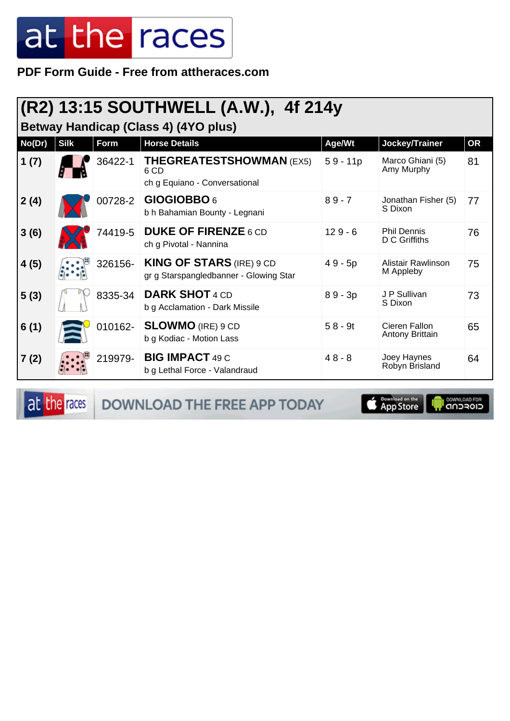**PDF Form Guide - Free from attheraces.com**

### **(R2) 13:15 SOUTHWELL (A.W.), 4f 214y**

**Betway Handicap (Class 4) (4YO plus)**

| No(Dr) | <b>Silk</b> | <b>Form</b> | <b>Horse Details</b>                                                      | Age/Wt     | Jockey/Trainer                      | <b>OR</b> |
|--------|-------------|-------------|---------------------------------------------------------------------------|------------|-------------------------------------|-----------|
| 1(7)   |             | 36422-1     | <b>THEGREATESTSHOWMAN (EX5)</b><br>6 CD<br>ch g Equiano - Conversational  | $59 - 11p$ | Marco Ghiani (5)<br>Amy Murphy      | 81        |
| 2(4)   |             | 00728-2     | GIOGIOBBO 6<br>b h Bahamian Bounty - Legnani                              | $89 - 7$   | Jonathan Fisher (5)<br>S Dixon      | 77        |
| 3(6)   |             | 74419-5     | <b>DUKE OF FIRENZE 6 CD</b><br>ch g Pivotal - Nannina                     | $129 - 6$  | <b>Phil Dennis</b><br>D C Griffiths | 76        |
| 4(5)   |             | 326156-     | <b>KING OF STARS (IRE) 9 CD</b><br>gr g Starspangledbanner - Glowing Star | $49 - 5p$  | Alistair Rawlinson<br>M Appleby     | 75        |
| 5(3)   |             | 8335-34     | <b>DARK SHOT 4 CD</b><br>b g Acclamation - Dark Missile                   | $89 - 3p$  | J P Sullivan<br>S Dixon             | 73        |
| 6(1)   |             | 010162-     | <b>SLOWMO</b> (IRE) 9 CD<br>b g Kodiac - Motion Lass                      | $58 - 9t$  | Cieren Fallon<br>Antony Brittain    | 65        |
| 7(2)   |             | 219979-     | <b>BIG IMPACT 49 C</b><br>b g Lethal Force - Valandraud                   | $48 - 8$   | Joey Haynes<br>Robyn Brisland       | 64        |

at the races DOWNLOAD THE FREE APP TODAY

**Completed on the OOWNLOAD FOR**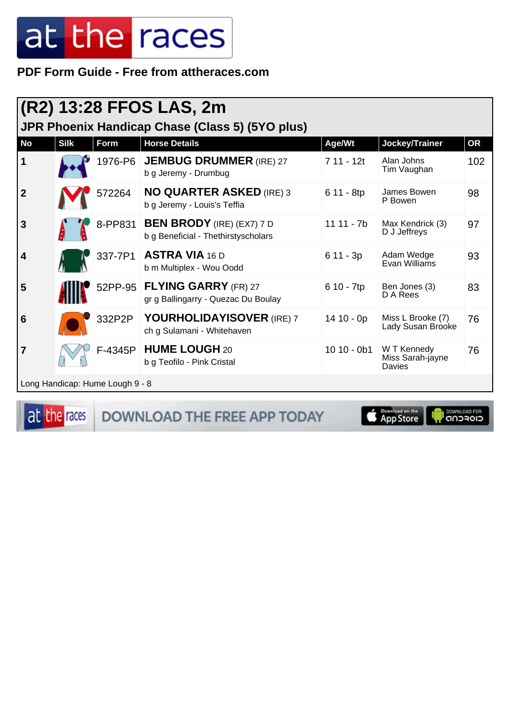PDF Form Guide - Free from attheraces.com

| (R2) 13:28 FFOS LAS, 2m                         |             |             |                                                                         |              |                                           |           |  |
|-------------------------------------------------|-------------|-------------|-------------------------------------------------------------------------|--------------|-------------------------------------------|-----------|--|
| JPR Phoenix Handicap Chase (Class 5) (5YO plus) |             |             |                                                                         |              |                                           |           |  |
| No                                              | <b>Silk</b> | <b>Form</b> | <b>Horse Details</b>                                                    | Age/Wt       | Jockey/Trainer                            | <b>OR</b> |  |
| 1                                               |             | 1976-P6     | <b>JEMBUG DRUMMER (IRE) 27</b><br>b g Jeremy - Drumbug                  | 7 11 - 12t   | Alan Johns<br>Tim Vaughan                 | 102       |  |
| $\mathbf{2}$                                    |             | 572264      | <b>NO QUARTER ASKED (IRE) 3</b><br>b g Jeremy - Louis's Teffia          | 6 11 - 8tp   | James Bowen<br>P Bowen                    | 98        |  |
| 3                                               |             | 8-PP831     | <b>BEN BRODY</b> (IRE) (EX7) 7 D<br>b g Beneficial - Thethirstyscholars | $1111 - 7b$  | Max Kendrick (3)<br>D J Jeffreys          | 97        |  |
| 4                                               |             | 337-7P1     | <b>ASTRA VIA 16 D</b><br>b m Multiplex - Wou Oodd                       | $611 - 3p$   | Adam Wedge<br>Evan Williams               | 93        |  |
| 5                                               |             |             | 52PP-95 FLYING GARRY (FR) 27<br>gr g Ballingarry - Quezac Du Boulay     | 6 10 - 7tp   | Ben Jones (3)<br>D A Rees                 | 83        |  |
| 6                                               |             | 332P2P      | YOURHOLIDAYISOVER (IRE) 7<br>ch g Sulamani - Whitehaven                 | $1410 - 0p$  | Miss L Brooke (7)<br>Lady Susan Brooke    | 76        |  |
| 7                                               |             |             | F-4345P   HUME LOUGH 20<br>b g Teofilo - Pink Cristal                   | $1010 - 0b1$ | W T Kennedy<br>Miss Sarah-jayne<br>Davies | 76        |  |
| Long Handicap: Hume Lough 9 - 8                 |             |             |                                                                         |              |                                           |           |  |

at the races

DOWNLOAD THE FREE APP TODAY

Download on the

il DOWNLOAD FOR<br>CIOFCND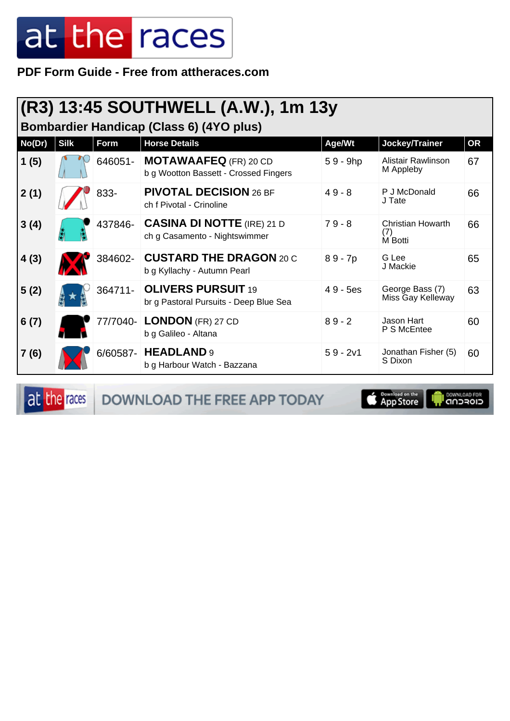**PDF Form Guide - Free from attheraces.com**

### **(R3) 13:45 SOUTHWELL (A.W.), 1m 13y**

**Bombardier Handicap (Class 6) (4YO plus)**

| No(Dr) | <b>Silk</b> | Form     | <b>Horse Details</b>                                                  | Age/Wt     | Jockey/Trainer                             | <b>OR</b> |
|--------|-------------|----------|-----------------------------------------------------------------------|------------|--------------------------------------------|-----------|
| 1(5)   |             | 646051-  | <b>MOTAWAAFEQ</b> (FR) 20 CD<br>b g Wootton Bassett - Crossed Fingers | $59 - 9hp$ | Alistair Rawlinson<br>M Appleby            | 67        |
| 2(1)   |             | 833-     | <b>PIVOTAL DECISION 26 BF</b><br>ch f Pivotal - Crinoline             | $49 - 8$   | P J McDonald<br>J Tate                     | 66        |
| 3(4)   |             | 437846-  | <b>CASINA DI NOTTE (IRE) 21 D</b><br>ch g Casamento - Nightswimmer    | $79 - 8$   | <b>Christian Howarth</b><br>(7)<br>M Botti | 66        |
| 4(3)   |             | 384602-  | <b>CUSTARD THE DRAGON 20 C</b><br>b g Kyllachy - Autumn Pearl         | $89 - 7p$  | G Lee<br>J Mackie                          | 65        |
| 5(2)   |             | 364711-  | <b>OLIVERS PURSUIT 19</b><br>br g Pastoral Pursuits - Deep Blue Sea   | $49 - 5es$ | George Bass (7)<br>Miss Gay Kelleway       | 63        |
| 6(7)   |             | 77/7040- | <b>LONDON</b> (FR) 27 CD<br>b g Galileo - Altana                      | $89 - 2$   | Jason Hart<br>P S McEntee                  | 60        |
| 7(6)   |             |          | 6/60587- HEADLAND 9<br>b g Harbour Watch - Bazzana                    | $59 - 2v1$ | Jonathan Fisher (5)<br>S Dixon             | 60        |

at the races

DOWNLOAD THE FREE APP TODAY

App Store

**IN DOWNLOAD FOR**